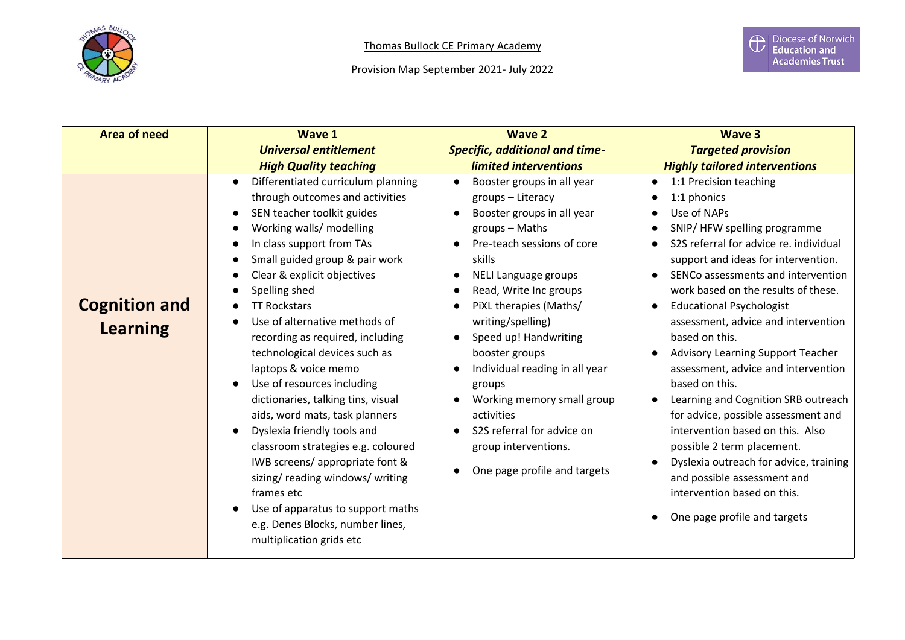

| <b>Area of need</b>                     | Wave 1                                                                                                                                                                                                                                                                                                                                                                                                                                                                                                                                                                                                                                                                                                                                                                             | <b>Wave 2</b>                                                                                                                                                                                                                                                                                                                                                                                                                                                                  | <b>Wave 3</b>                                                                                                                                                                                                                                                                                                                                                                                                                                                                                                                                                                                                                                                                                                                              |
|-----------------------------------------|------------------------------------------------------------------------------------------------------------------------------------------------------------------------------------------------------------------------------------------------------------------------------------------------------------------------------------------------------------------------------------------------------------------------------------------------------------------------------------------------------------------------------------------------------------------------------------------------------------------------------------------------------------------------------------------------------------------------------------------------------------------------------------|--------------------------------------------------------------------------------------------------------------------------------------------------------------------------------------------------------------------------------------------------------------------------------------------------------------------------------------------------------------------------------------------------------------------------------------------------------------------------------|--------------------------------------------------------------------------------------------------------------------------------------------------------------------------------------------------------------------------------------------------------------------------------------------------------------------------------------------------------------------------------------------------------------------------------------------------------------------------------------------------------------------------------------------------------------------------------------------------------------------------------------------------------------------------------------------------------------------------------------------|
|                                         | <b>Universal entitlement</b>                                                                                                                                                                                                                                                                                                                                                                                                                                                                                                                                                                                                                                                                                                                                                       | <b>Specific, additional and time-</b>                                                                                                                                                                                                                                                                                                                                                                                                                                          | <b>Targeted provision</b>                                                                                                                                                                                                                                                                                                                                                                                                                                                                                                                                                                                                                                                                                                                  |
|                                         | <b>High Quality teaching</b>                                                                                                                                                                                                                                                                                                                                                                                                                                                                                                                                                                                                                                                                                                                                                       | limited interventions                                                                                                                                                                                                                                                                                                                                                                                                                                                          | <b>Highly tailored interventions</b>                                                                                                                                                                                                                                                                                                                                                                                                                                                                                                                                                                                                                                                                                                       |
| <b>Cognition and</b><br><b>Learning</b> | Differentiated curriculum planning<br>$\bullet$<br>through outcomes and activities<br>SEN teacher toolkit guides<br>Working walls/ modelling<br>In class support from TAs<br>Small guided group & pair work<br>Clear & explicit objectives<br>Spelling shed<br><b>TT Rockstars</b><br>Use of alternative methods of<br>recording as required, including<br>technological devices such as<br>laptops & voice memo<br>Use of resources including<br>dictionaries, talking tins, visual<br>aids, word mats, task planners<br>Dyslexia friendly tools and<br>classroom strategies e.g. coloured<br>IWB screens/appropriate font &<br>sizing/reading windows/writing<br>frames etc<br>Use of apparatus to support maths<br>e.g. Denes Blocks, number lines,<br>multiplication grids etc | Booster groups in all year<br>$\bullet$<br>groups - Literacy<br>Booster groups in all year<br>groups - Maths<br>Pre-teach sessions of core<br>skills<br>NELI Language groups<br>Read, Write Inc groups<br>PiXL therapies (Maths/<br>writing/spelling)<br>Speed up! Handwriting<br>booster groups<br>Individual reading in all year<br>groups<br>Working memory small group<br>activities<br>S2S referral for advice on<br>group interventions.<br>One page profile and targets | 1:1 Precision teaching<br>1:1 phonics<br>Use of NAPs<br>SNIP/HFW spelling programme<br>S2S referral for advice re. individual<br>support and ideas for intervention.<br>SENCo assessments and intervention<br>work based on the results of these.<br><b>Educational Psychologist</b><br>assessment, advice and intervention<br>based on this.<br><b>Advisory Learning Support Teacher</b><br>assessment, advice and intervention<br>based on this.<br>Learning and Cognition SRB outreach<br>for advice, possible assessment and<br>intervention based on this. Also<br>possible 2 term placement.<br>Dyslexia outreach for advice, training<br>and possible assessment and<br>intervention based on this.<br>One page profile and targets |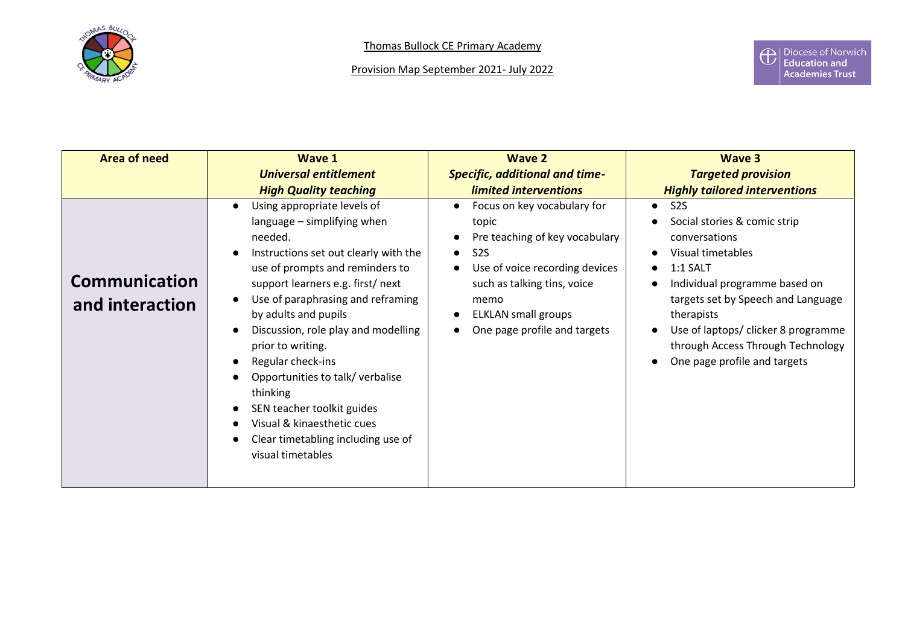

| <b>Area of need</b>                     | Wave 1                                                                                                                                                                                                                                                                                                                                                                                                                                                                                                    | <b>Wave 2</b>                                                                                                                                                                                                                                  | Wave 3                                                                                                                                                                                                                                                                                                            |
|-----------------------------------------|-----------------------------------------------------------------------------------------------------------------------------------------------------------------------------------------------------------------------------------------------------------------------------------------------------------------------------------------------------------------------------------------------------------------------------------------------------------------------------------------------------------|------------------------------------------------------------------------------------------------------------------------------------------------------------------------------------------------------------------------------------------------|-------------------------------------------------------------------------------------------------------------------------------------------------------------------------------------------------------------------------------------------------------------------------------------------------------------------|
|                                         | <b>Universal entitlement</b>                                                                                                                                                                                                                                                                                                                                                                                                                                                                              | <b>Specific, additional and time-</b>                                                                                                                                                                                                          | <b>Targeted provision</b>                                                                                                                                                                                                                                                                                         |
|                                         | <b>High Quality teaching</b>                                                                                                                                                                                                                                                                                                                                                                                                                                                                              | limited interventions                                                                                                                                                                                                                          | <b>Highly tailored interventions</b>                                                                                                                                                                                                                                                                              |
| <b>Communication</b><br>and interaction | Using appropriate levels of<br>language - simplifying when<br>needed.<br>Instructions set out clearly with the<br>use of prompts and reminders to<br>support learners e.g. first/next<br>Use of paraphrasing and reframing<br>by adults and pupils<br>Discussion, role play and modelling<br>prior to writing.<br>Regular check-ins<br>Opportunities to talk/verbalise<br>thinking<br>SEN teacher toolkit guides<br>Visual & kinaesthetic cues<br>Clear timetabling including use of<br>visual timetables | Focus on key vocabulary for<br>$\bullet$<br>topic<br>Pre teaching of key vocabulary<br>S2S<br>$\bullet$<br>Use of voice recording devices<br>such as talking tins, voice<br>memo<br><b>ELKLAN</b> small groups<br>One page profile and targets | S <sub>2S</sub><br>$\bullet$<br>Social stories & comic strip<br>conversations<br>Visual timetables<br>$1:1$ SALT<br>Individual programme based on<br>targets set by Speech and Language<br>therapists<br>Use of laptops/ clicker 8 programme<br>through Access Through Technology<br>One page profile and targets |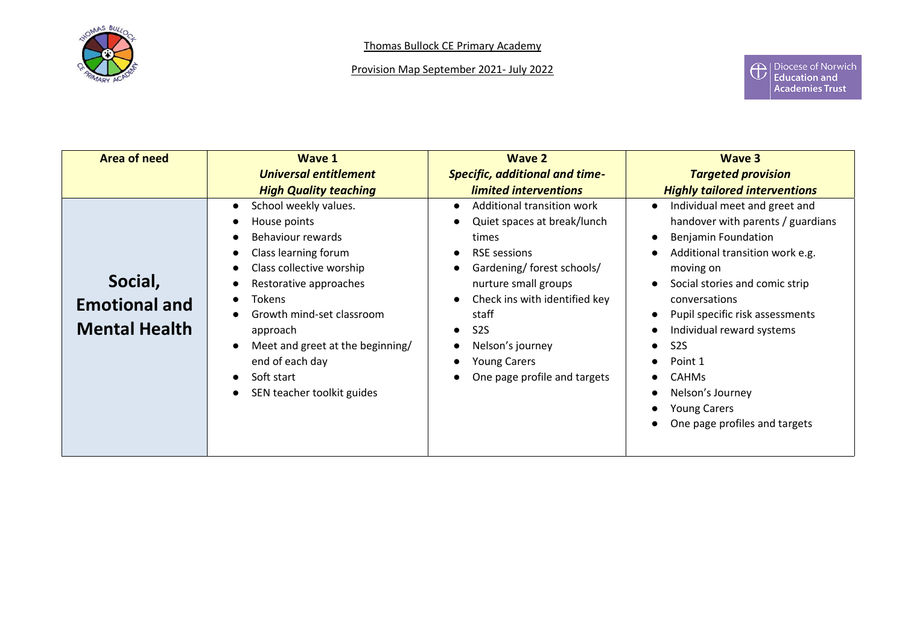

Provision Map September 2021- July 2022

| Area of need                                            | <b>Wave 1</b><br>Universal entitlement                                                                                                                                                                                                                                                                                          | <b>Wave 2</b><br><b>Specific, additional and time-</b>                                                                                                                                                                                                                                                | Wave 3<br><b>Targeted provision</b>                                                                                                                                                                                                                                                                                                                                                            |
|---------------------------------------------------------|---------------------------------------------------------------------------------------------------------------------------------------------------------------------------------------------------------------------------------------------------------------------------------------------------------------------------------|-------------------------------------------------------------------------------------------------------------------------------------------------------------------------------------------------------------------------------------------------------------------------------------------------------|------------------------------------------------------------------------------------------------------------------------------------------------------------------------------------------------------------------------------------------------------------------------------------------------------------------------------------------------------------------------------------------------|
|                                                         | <b>High Quality teaching</b>                                                                                                                                                                                                                                                                                                    | limited interventions                                                                                                                                                                                                                                                                                 | <b>Highly tailored interventions</b>                                                                                                                                                                                                                                                                                                                                                           |
| Social,<br><b>Emotional and</b><br><b>Mental Health</b> | School weekly values.<br>$\bullet$<br>House points<br>Behaviour rewards<br>Class learning forum<br>Class collective worship<br>Restorative approaches<br><b>Tokens</b><br>$\bullet$<br>Growth mind-set classroom<br>approach<br>Meet and greet at the beginning/<br>end of each day<br>Soft start<br>SEN teacher toolkit guides | Additional transition work<br>Quiet spaces at break/lunch<br>times<br><b>RSE</b> sessions<br>Gardening/ forest schools/<br>nurture small groups<br>Check ins with identified key<br>staff<br>S <sub>2</sub> S<br>$\bullet$<br>Nelson's journey<br><b>Young Carers</b><br>One page profile and targets | Individual meet and greet and<br>handover with parents / guardians<br><b>Benjamin Foundation</b><br>Additional transition work e.g.<br>moving on<br>Social stories and comic strip<br>conversations<br>Pupil specific risk assessments<br>Individual reward systems<br>S <sub>2</sub> S<br>Point 1<br><b>CAHMs</b><br>Nelson's Journey<br><b>Young Carers</b><br>One page profiles and targets |